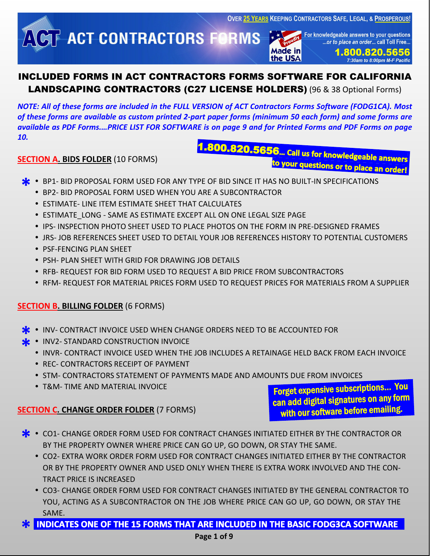**OVER 25 YEARS KEEPING CONTRACTORS SAFE, LEGAL, & PROSPEROUS!** 

**ACT CONTRACTORS FORMS** 

For knowledgeable answers to your questions ...or to place an order... call Toll Free..

**Made in** the USA

1.800.820.5656 7:30am to 8:00pm M-F Pacific

# INCLUDED FORMS IN ACT CONTRACTORS FORMS SOFTWARE FOR CALIFORNIA LANDSCAPING CONTRACTORS (C27 LICENSE HOLDERS) (96 & 38 Optional Forms)

*NOTE: All of these forms are included in the FULL VERSION of ACT Contractors Forms Software (FODG1CA). Most of these forms are available as custom printed 2-part paper forms (minimum 50 each form) and some forms are available as PDF Forms.…PRICE LIST FOR SOFTWARE is on page 9 and for Printed Forms and PDF Forms on page 10.*

#### **SECTION A. BIDS FOLDER** (10 FORMS)

.800.820.5656... call us for knowledgeable answers to your questions or to place an order!

- **\* \*** BP1- BID PROPOSAL FORM USED FOR ANY TYPE OF BID SINCE IT HAS NO BUILT-IN SPECIFICATIONS<br>**\*** BP2- BID PROPOSAL FORM USED WHEN YOU ARE A SUBCONTRACTOR
	- BP2- BID PROPOSAL FORM USED WHEN YOU ARE A SUBCONTRACTOR
	- ESTIMATE- LINE ITEM ESTIMATE SHEET THAT CALCULATES
	- **ESTIMATE LONG SAME AS ESTIMATE EXCEPT ALL ON ONE LEGAL SIZE PAGE**
	- **IPS- INSPECTION PHOTO SHEET USED TO PLACE PHOTOS ON THE FORM IN PRE-DESIGNED FRAMES**
	- JRS- JOB REFERENCES SHEET USED TO DETAIL YOUR JOB REFERENCES HISTORY TO POTENTIAL CUSTOMERS
	- PSF-FENCING PLAN SHEET
	- PSH- PLAN SHEET WITH GRID FOR DRAWING JOB DETAILS
	- **RFB- REQUEST FOR BID FORM USED TO REQUEST A BID PRICE FROM SUBCONTRACTORS**
	- **RFM- REQUEST FOR MATERIAL PRICES FORM USED TO REQUEST PRICES FOR MATERIALS FROM A SUPPLIER**

#### **SECTION B. BILLING FOLDER** (6 FORMS)

- **INV- CONTRACT INVOICE USED WHEN CHANGE ORDERS NEED TO BE ACCOUNTED FOR \*** INV- CONTRACT INVOICE USED WHEN CHA<br> **\*** INV2- STANDARD CONSTRUCTION INVOICE
- **\***
	- INVR- CONTRACT INVOICE USED WHEN THE JOB INCLUDES A RETAINAGE HELD BACK FROM EACH INVOICE
	- REC- CONTRACTORS RECEIPT OF PAYMENT
	- **STM- CONTRACTORS STATEMENT OF PAYMENTS MADE AND AMOUNTS DUE FROM INVOICES**
	- T&M- TIME AND MATERIAL INVOICE

#### **SECTION C. CHANGE ORDER FOLDER** (7 FORMS)

Forget expensive subscriptions… You can add digital signatures on any form with our software before emailing.

- **\*** CO1- CHANGE ORDER FORM USED FOR CONTRACT CHANGES INITIATED EITHER BY THE CONTRACTOR OR BY THE PROPERTY OWNER WHERE PRICE CAN GO UP, GO DOWN, OR STAY THE SAME. BY THE PROPERTY OWNER WHERE PRICE CAN GO UP, GO DOWN, OR STAY THE SAME.
	- CO2- EXTRA WORK ORDER FORM USED FOR CONTRACT CHANGES INITIATED EITHER BY THE CONTRACTOR OR BY THE PROPERTY OWNER AND USED ONLY WHEN THERE IS EXTRA WORK INVOLVED AND THE CON-TRACT PRICE IS INCREASED
	- CO3- CHANGE ORDER FORM USED FOR CONTRACT CHANGES INITIATED BY THE GENERAL CONTRACTOR TO YOU, ACTING AS A SUBCONTRACTOR ON THE JOB WHERE PRICE CAN GO UP, GO DOWN, OR STAY THE SAME.
- **\* INDICATES ONE OF THE 15 FORMS THAT ARE INCLUDED IN THE BASIC FODG3CA SOFTWARE**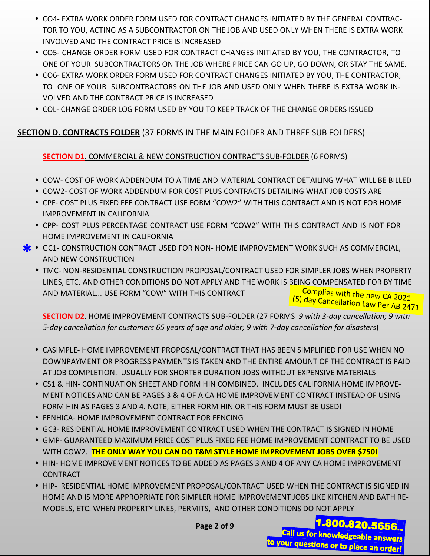- CO4- EXTRA WORK ORDER FORM USED FOR CONTRACT CHANGES INITIATED BY THE GENERAL CONTRAC-TOR TO YOU, ACTING AS A SUBCONTRACTOR ON THE JOB AND USED ONLY WHEN THERE IS EXTRA WORK INVOLVED AND THE CONTRACT PRICE IS INCREASED
- CO5- CHANGE ORDER FORM USED FOR CONTRACT CHANGES INITIATED BY YOU, THE CONTRACTOR, TO ONE OF YOUR SUBCONTRACTORS ON THE JOB WHERE PRICE CAN GO UP, GO DOWN, OR STAY THE SAME.
- CO6- EXTRA WORK ORDER FORM USED FOR CONTRACT CHANGES INITIATED BY YOU, THE CONTRACTOR, TO ONE OF YOUR SUBCONTRACTORS ON THE JOB AND USED ONLY WHEN THERE IS EXTRA WORK IN-VOLVED AND THE CONTRACT PRICE IS INCREASED
- COL- CHANGE ORDER LOG FORM USED BY YOU TO KEEP TRACK OF THE CHANGE ORDERS ISSUED

# **SECTION D. CONTRACTS FOLDER** (37 FORMS IN THE MAIN FOLDER AND THREE SUB FOLDERS)

# **SECTION D1**. COMMERCIAL & NEW CONSTRUCTION CONTRACTS SUB-FOLDER (6 FORMS)

- COW- COST OF WORK ADDENDUM TO A TIME AND MATERIAL CONTRACT DETAILING WHAT WILL BE BILLED
- COW2- COST OF WORK ADDENDUM FOR COST PLUS CONTRACTS DETAILING WHAT JOB COSTS ARE
- CPF- COST PLUS FIXED FEE CONTRACT USE FORM "COW2" WITH THIS CONTRACT AND IS NOT FOR HOME IMPROVEMENT IN CALIFORNIA
- CPP- COST PLUS PERCENTAGE CONTRACT USE FORM "COW2" WITH THIS CONTRACT AND IS NOT FOR HOME IMPROVEMENT IN CALIFORNIA
- **\*** GC1- CONSTRUCTION CONTRACT USED FOR NON- HOME IMPROVEMENT WORK SUCH AS COMMERCIAL,<br>AND NEW CONSTRUCTION AND NEW CONSTRUCTION
	- TMC- NON-RESIDENTIAL CONSTRUCTION PROPOSAL/CONTRACT USED FOR SIMPLER JOBS WHEN PROPERTY LINES, ETC. AND OTHER CONDITIONS DO NOT APPLY AND THE WORK IS BEING COMPENSATED FOR BY TIME AND MATERIAL... USE FORM "COW" WITH THIS CONTRACT Complies with the new CA 2021

**SECTION D2**. HOME IMPROVEMENT CONTRACTS SUB-FOLDER (27 FORMS *9 with 3-day cancellation; 9 with 5-day cancellation for customers 65 years of age and older; 9 with 7-day cancellation for disasters*) (5) day Cancellation Law Per AB 2471

- CASIMPLE- HOME IMPROVEMENT PROPOSAL/CONTRACT THAT HAS BEEN SIMPLIFIED FOR USE WHEN NO DOWNPAYMENT OR PROGRESS PAYMENTS IS TAKEN AND THE ENTIRE AMOUNT OF THE CONTRACT IS PAID AT JOB COMPLETION. USUALLY FOR SHORTER DURATION JOBS WITHOUT EXPENSIVE MATERIALS
- CS1 & HIN- CONTINUATION SHEET AND FORM HIN COMBINED. INCLUDES CALIFORNIA HOME IMPROVE-MENT NOTICES AND CAN BE PAGES 3 & 4 OF A CA HOME IMPROVEMENT CONTRACT INSTEAD OF USING FORM HIN AS PAGES 3 AND 4. NOTE, EITHER FORM HIN OR THIS FORM MUST BE USED!
- FENHICA- HOME IMPROVEMENT CONTRACT FOR FENCING
- GC3- RESIDENTIAL HOME IMPROVEMENT CONTRACT USED WHEN THE CONTRACT IS SIGNED IN HOME
- GMP- GUARANTEED MAXIMUM PRICE COST PLUS FIXED FEE HOME IMPROVEMENT CONTRACT TO BE USED WITH COW2. **THE ONLY WAY YOU CAN DO T&M STYLE HOME IMPROVEMENT JOBS OVER \$750!**
- **HIN- HOME IMPROVEMENT NOTICES TO BE ADDED AS PAGES 3 AND 4 OF ANY CA HOME IMPROVEMENT** CONTRACT
- HIP- RESIDENTIAL HOME IMPROVEMENT PROPOSAL/CONTRACT USED WHEN THE CONTRACT IS SIGNED IN HOME AND IS MORE APPROPRIATE FOR SIMPLER HOME IMPROVEMENT JOBS LIKE KITCHEN AND BATH RE-MODELS, ETC. WHEN PROPERTY LINES, PERMITS, AND OTHER CONDITIONS DO NOT APPLY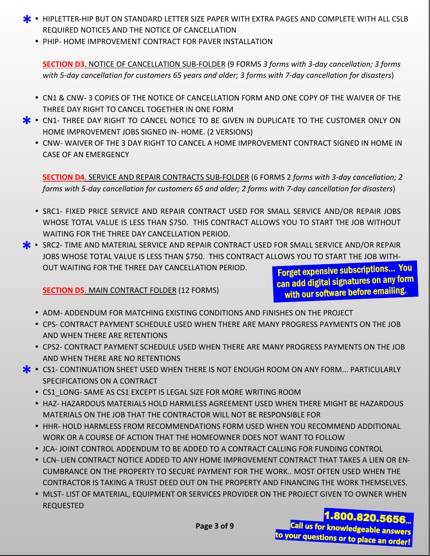- **\*** HIPLETTER-HIP BUT ON STANDARD LETTER SIZE PAPER WITH EXTRA PAGES AND COMPLETE WITH ALL CSLB<br>REQUIRED NOTICES AND THE NOTICE OF CANCELLATION REQUIRED NOTICES AND THE NOTICE OF CANCELLATION
	- **PHIP- HOME IMPROVEMENT CONTRACT FOR PAVER INSTALLATION**

**SECTION D3**. NOTICE OF CANCELLATION SUB-FOLDER (9 FORMS *3 forms with 3-day cancellation; 3 forms with 5-day cancellation for customers 65 years and older; 3 forms with 7-day cancellation for disasters*)

- CN1 & CNW- 3 COPIES OF THE NOTICE OF CANCELLATION FORM AND ONE COPY OF THE WAIVER OF THE THREE DAY RIGHT TO CANCEL TOGETHER IN ONE FORM
- **\*** CN1- THREE DAY RIGHT TO CANCEL NOTICE TO BE GIVEN IN DUPLICATE TO THE CUSTOMER ONLY ON HOME IMPROVEMENT JOBS SIGNED IN- HOME. (2 VERSIONS) HOME IMPROVEMENT JOBS SIGNED IN- HOME. (2 VERSIONS)
	- CNW- WAIVER OF THE 3 DAY RIGHT TO CANCEL A HOME IMPROVEMENT CONTRACT SIGNED IN HOME IN CASE OF AN EMERGENCY

**SECTION D4**. SERVICE AND REPAIR CONTRACTS SUB-FOLDER (6 FORMS 2 *forms with 3-day cancellation; 2 forms with 5-day cancellation for customers 65 and older; 2 forms with 7-day cancellation for disasters*)

- **SRC1- FIXED PRICE SERVICE AND REPAIR CONTRACT USED FOR SMALL SERVICE AND/OR REPAIR JOBS** WHOSE TOTAL VALUE IS LESS THAN \$750. THIS CONTRACT ALLOWS YOU TO START THE JOB WITHOUT WAITING FOR THE THREE DAY CANCELLATION PERIOD.
- **\*** SRC2- TIME AND MATERIAL SERVICE AND REPAIR CONTRACT USED FOR SMALL SERVICE AND/OR REPAIR JOBS WHOSE TOTAL VALUE IS LESS THAN \$750. THIS CONTRACT ALLOWS YOU TO START THE JOB WITH-JOBS WHOSE TOTAL VALUE IS LESS THAN \$750. THIS CONTRACT ALLOWS YOU TO START THE JOB WITH-OUT WAITING FOR THE THREE DAY CANCELLATION PERIOD.

Forget expensive subscriptions… You can add digital signatures on any form with our software before emailing.

**SECTION D5**. MAIN CONTRACT FOLDER (12 FORMS)

- **ADM- ADDENDUM FOR MATCHING EXISTING CONDITIONS AND FINISHES ON THE PROJECT**
- CPS- CONTRACT PAYMENT SCHEDULE USED WHEN THERE ARE MANY PROGRESS PAYMENTS ON THE JOB AND WHEN THERE ARE RETENTIONS
- CPS2- CONTRACT PAYMENT SCHEDULE USED WHEN THERE ARE MANY PROGRESS PAYMENTS ON THE JOB AND WHEN THERE ARE NO RETENTIONS
- **\*** CS1- CONTINUATION SHEET USED WHEN THERE IS NOT ENOUGH ROOM ON ANY FORM... PARTICULARLY<br>SPECIFICATIONS ON A CONTRACT SPECIFICATIONS ON A CONTRACT
	- CS1\_LONG- SAME AS CS1 EXCEPT IS LEGAL SIZE FOR MORE WRITING ROOM
	- HAZ- HAZARDOUS MATERIALS HOLD HARMLESS AGREEMENT USED WHEN THERE MIGHT BE HAZARDOUS MATERIALS ON THE JOB THAT THE CONTRACTOR WILL NOT BE RESPONSIBLE FOR
	- **HHR- HOLD HARMLESS FROM RECOMMENDATIONS FORM USED WHEN YOU RECOMMEND ADDITIONAL** WORK OR A COURSE OF ACTION THAT THE HOMEOWNER DOES NOT WANT TO FOLLOW
	- JCA- JOINT CONTROL ADDENDUM TO BE ADDED TO A CONTRACT CALLING FOR FUNDING CONTROL
	- LCN- LIEN CONTRACT NOTICE ADDED TO ANY HOME IMPROVEMENT CONTRACT THAT TAKES A LIEN OR EN-CUMBRANCE ON THE PROPERTY TO SECURE PAYMENT FOR THE WORK.. MOST OFTEN USED WHEN THE CONTRACTOR IS TAKING A TRUST DEED OUT ON THE PROPERTY AND FINANCING THE WORK THEMSELVES.
	- **MLST- LIST OF MATERIAL, EQUIPMENT OR SERVICES PROVIDER ON THE PROJECT GIVEN TO OWNER WHEN** REQUESTED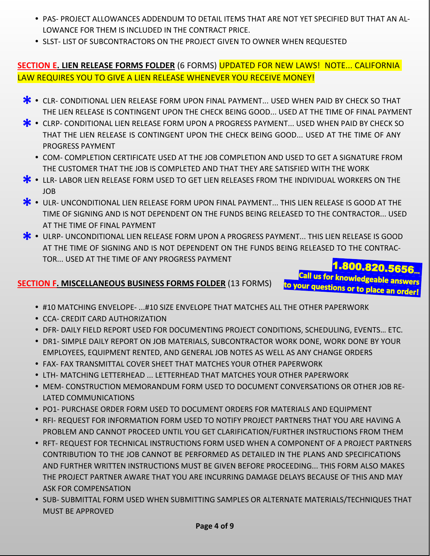- PAS- PROJECT ALLOWANCES ADDENDUM TO DETAIL ITEMS THAT ARE NOT YET SPECIFIED BUT THAT AN AL-LOWANCE FOR THEM IS INCLUDED IN THE CONTRACT PRICE.
- **SLST- LIST OF SUBCONTRACTORS ON THE PROJECT GIVEN TO OWNER WHEN REQUESTED**

# **SECTION E. LIEN RELEASE FORMS FOLDER** (6 FORMS) UPDATED FOR NEW LAWS! NOTE... CALIFORNIA LAW REQUIRES YOU TO GIVE A LIEN RELEASE WHENEVER YOU RECEIVE MONEY!

- CLR- CONDITIONAL LIEN RELEASE FORM UPON FINAL PAYMENT... USED WHEN PAID BY CHECK SO THAT THE LIEN RELEASE IS CONTINGENT UPON THE CHECK BEING GOOD... USED AT THE TIME OF FINAL PAYME THE LIEN RELEASE IS CONTINGENT UPON THE CHECK BEING GOOD... USED AT THE TIME OF FINAL PAYMENT
- CLRP- CONDITIONAL LIEN RELEASE FORM UPON A PROGRESS PAYMENT... USED WHEN PAID BY CHECK SO THAT THE LIEN RELEASE IS CONTINGENT UPON THE CHECK BEING GOOD... USED AT THE TIME OF ANY THAT THE LIEN RELEASE IS CONTINGENT UPON THE CHECK BEING GOOD... USED AT THE TIME OF ANY PROGRESS PAYMENT
	- COM- COMPLETION CERTIFICATE USED AT THE JOB COMPLETION AND USED TO GET A SIGNATURE FROM THE CUSTOMER THAT THE JOB IS COMPLETED AND THAT THEY ARE SATISFIED WITH THE WORK
- **\*** LLR- LABOR LIEN RELEASE FORM USED TO GET LIEN RELEASES FROM THE INDIVIDUAL WORKERS ON THE JOB JOB
- **\*** ULR- UNCONDITIONAL LIEN RELEASE FORM UPON FINAL PAYMENT... THIS LIEN RELEASE IS GOOD AT THE VINDS BEING RELEASED TO THE CONTRACTOR... USEIN TIME OF SIGNING AND IS NOT DEPENDENT ON THE FUNDS BEING RELEASED TO THE CON TIME OF SIGNING AND IS NOT DEPENDENT ON THE FUNDS BEING RELEASED TO THE CONTRACTOR... USED AT THE TIME OF FINAL PAYMENT
- ULRP- UNCONDITIONAL LIEN RELEASE FORM UPON A PROGRESS PAYMENT... THIS LIEN RELEASE IS GOOD AT THE TIME OF SIGNING AND IS NOT DEPENDENT ON THE FUNDS BEING RELEASED TO THE CONTRAC-AT THE TIME OF SIGNING AND IS NOT DEPENDENT ON THE FUNDS BEING RELEASED TO THE CONTRAC-TOR... USED AT THE TIME OF ANY PROGRESS PAYMENT 1.800.820.5656

Call us for knowledgeable answers to your questions or to place an order!

#### **SECTION F. MISCELLANEOUS BUSINESS FORMS FOLDER** (13 FORMS)

#10 MATCHING ENVELOPE- ...#10 SIZE ENVELOPE THAT MATCHES ALL THE OTHER PAPERWORK

- CCA- CREDIT CARD AUTHORIZATION
- DFR- DAILY FIELD REPORT USED FOR DOCUMENTING PROJECT CONDITIONS, SCHEDULING, EVENTS… ETC.
- **DR1- SIMPLE DAILY REPORT ON JOB MATERIALS, SUBCONTRACTOR WORK DONE, WORK DONE BY YOUR** EMPLOYEES, EQUIPMENT RENTED, AND GENERAL JOB NOTES AS WELL AS ANY CHANGE ORDERS
- FAX- FAX TRANSMITTAL COVER SHEET THAT MATCHES YOUR OTHER PAPERWORK
- LTH- MATCHING LETTERHEAD ... LETTERHEAD THAT MATCHES YOUR OTHER PAPERWORK
- MEM- CONSTRUCTION MEMORANDUM FORM USED TO DOCUMENT CONVERSATIONS OR OTHER JOB RE-LATED COMMUNICATIONS
- PO1- PURCHASE ORDER FORM USED TO DOCUMENT ORDERS FOR MATERIALS AND EQUIPMENT
- **RFI- REQUEST FOR INFORMATION FORM USED TO NOTIFY PROJECT PARTNERS THAT YOU ARE HAVING A** PROBLEM AND CANNOT PROCEED UNTIL YOU GET CLARIFICATION/FURTHER INSTRUCTIONS FROM THEM
- **RFT- REQUEST FOR TECHNICAL INSTRUCTIONS FORM USED WHEN A COMPONENT OF A PROJECT PARTNERS** CONTRIBUTION TO THE JOB CANNOT BE PERFORMED AS DETAILED IN THE PLANS AND SPECIFICATIONS AND FURTHER WRITTEN INSTRUCTIONS MUST BE GIVEN BEFORE PROCEEDING... THIS FORM ALSO MAKES THE PROJECT PARTNER AWARE THAT YOU ARE INCURRING DAMAGE DELAYS BECAUSE OF THIS AND MAY ASK FOR COMPENSATION
- **SUB- SUBMITTAL FORM USED WHEN SUBMITTING SAMPLES OR ALTERNATE MATERIALS/TECHNIQUES THAT** MUST BE APPROVED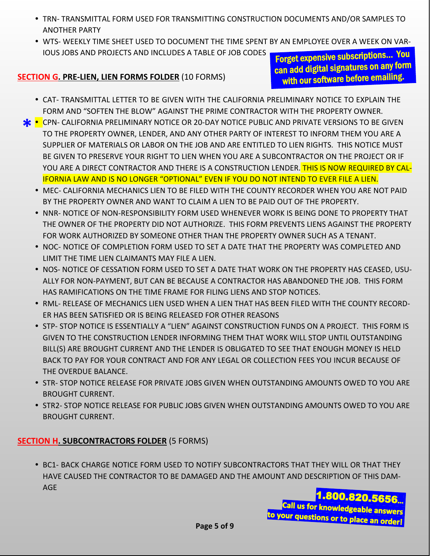- TRN- TRANSMITTAL FORM USED FOR TRANSMITTING CONSTRUCTION DOCUMENTS AND/OR SAMPLES TO ANOTHER PARTY
- WTS- WEEKLY TIME SHEET USED TO DOCUMENT THE TIME SPENT BY AN EMPLOYEE OVER A WEEK ON VAR-IOUS JOBS AND PROJECTS AND INCLUDES A TABLE OF JOB CODES

#### **SECTION G. PRE-LIEN, LIEN FORMS FOLDER** (10 FORMS)

Forget expensive subscriptions… You can add digital signatures on any form with our software before emailing.

- CAT- TRANSMITTAL LETTER TO BE GIVEN WITH THE CALIFORNIA PRELIMINARY NOTICE TO EXPLAIN THE FORM AND "SOFTEN THE BLOW" AGAINST THE PRIME CONTRACTOR WITH THE PROPERTY OWNER.
- **\*** CPN- CALIFORNIA PRELIMINARY NOTICE OR 20-DAY NOTICE PUBLIC AND PRIVATE VERSIONS TO BE GIVEN TO THE PROPERTY OWNER, LENDER, AND ANY OTHER PARTY OF INTEREST TO INFORM THEM YOU ARE A TO THE PROPERTY OWNER, LENDER, AND ANY OTHER PARTY OF INTEREST TO INFORM THEM YOU ARE A SUPPLIER OF MATERIALS OR LABOR ON THE JOB AND ARE ENTITLED TO LIEN RIGHTS. THIS NOTICE MUST BE GIVEN TO PRESERVE YOUR RIGHT TO LIEN WHEN YOU ARE A SUBCONTRACTOR ON THE PROJECT OR IF YOU ARE A DIRECT CONTRACTOR AND THERE IS A CONSTRUCTION LENDER. THIS IS NOW REQUIRED BY CAL-IFORNIA LAW AND IS NO LONGER "OPTIONAL" EVEN IF YOU DO NOT INTEND TO EVER FILE A LIEN.
	- **MEC- CALIFORNIA MECHANICS LIEN TO BE FILED WITH THE COUNTY RECORDER WHEN YOU ARE NOT PAID** BY THE PROPERTY OWNER AND WANT TO CLAIM A LIEN TO BE PAID OUT OF THE PROPERTY.
	- NNR- NOTICE OF NON-RESPONSIBILITY FORM USED WHENEVER WORK IS BEING DONE TO PROPERTY THAT THE OWNER OF THE PROPERTY DID NOT AUTHORIZE. THIS FORM PREVENTS LIENS AGAINST THE PROPERTY FOR WORK AUTHORIZED BY SOMEONE OTHER THAN THE PROPERTY OWNER SUCH AS A TENANT.
	- NOC- NOTICE OF COMPLETION FORM USED TO SET A DATE THAT THE PROPERTY WAS COMPLETED AND LIMIT THE TIME LIEN CLAIMANTS MAY FILE A LIEN.
	- . NOS- NOTICE OF CESSATION FORM USED TO SET A DATE THAT WORK ON THE PROPERTY HAS CEASED, USU-ALLY FOR NON-PAYMENT, BUT CAN BE BECAUSE A CONTRACTOR HAS ABANDONED THE JOB. THIS FORM HAS RAMIFICATIONS ON THE TIME FRAME FOR FILING LIENS AND STOP NOTICES.
	- RML- RELEASE OF MECHANICS LIEN USED WHEN A LIEN THAT HAS BEEN FILED WITH THE COUNTY RECORD-ER HAS BEEN SATISFIED OR IS BEING RELEASED FOR OTHER REASONS
	- **STP- STOP NOTICE IS ESSENTIALLY A "LIEN" AGAINST CONSTRUCTION FUNDS ON A PROJECT. THIS FORM IS** GIVEN TO THE CONSTRUCTION LENDER INFORMING THEM THAT WORK WILL STOP UNTIL OUTSTANDING BILL(S) ARE BROUGHT CURRENT AND THE LENDER IS OBLIGATED TO SEE THAT ENOUGH MONEY IS HELD BACK TO PAY FOR YOUR CONTRACT AND FOR ANY LEGAL OR COLLECTION FEES YOU INCUR BECAUSE OF THE OVERDUE BALANCE.
	- **STR- STOP NOTICE RELEASE FOR PRIVATE JOBS GIVEN WHEN OUTSTANDING AMOUNTS OWED TO YOU ARE** BROUGHT CURRENT.
	- **STR2- STOP NOTICE RELEASE FOR PUBLIC JOBS GIVEN WHEN OUTSTANDING AMOUNTS OWED TO YOU ARE** BROUGHT CURRENT.

#### **SECTION H. SUBCONTRACTORS FOLDER** (5 FORMS)

**• BC1- BACK CHARGE NOTICE FORM USED TO NOTIFY SUBCONTRACTORS THAT THEY WILL OR THAT THEY** HAVE CAUSED THE CONTRACTOR TO BE DAMAGED AND THE AMOUNT AND DESCRIPTION OF THIS DAM-AGE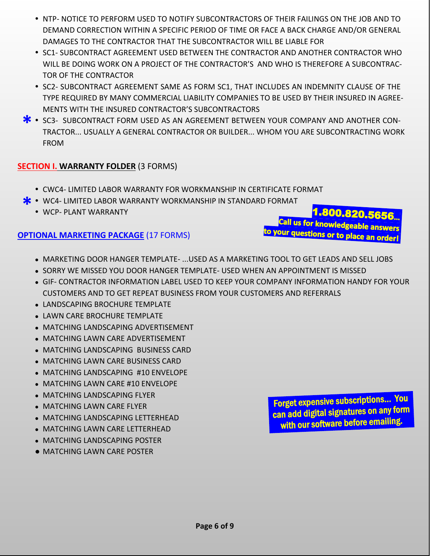- **NTP- NOTICE TO PERFORM USED TO NOTIFY SUBCONTRACTORS OF THEIR FAILINGS ON THE JOB AND TO** DEMAND CORRECTION WITHIN A SPECIFIC PERIOD OF TIME OR FACE A BACK CHARGE AND/OR GENERAL DAMAGES TO THE CONTRACTOR THAT THE SUBCONTRACTOR WILL BE LIABLE FOR
- **SC1- SUBCONTRACT AGREEMENT USED BETWEEN THE CONTRACTOR AND ANOTHER CONTRACTOR WHO** WILL BE DOING WORK ON A PROJECT OF THE CONTRACTOR'S AND WHO IS THEREFORE A SUBCONTRAC-TOR OF THE CONTRACTOR
- SC2- SUBCONTRACT AGREEMENT SAME AS FORM SC1. THAT INCLUDES AN INDEMNITY CLAUSE OF THE TYPE REQUIRED BY MANY COMMERCIAL LIABILITY COMPANIES TO BE USED BY THEIR INSURED IN AGREE-MENTS WITH THE INSURED CONTRACTOR'S SUBCONTRACTORS
- SC3- SUBCONTRACT FORM USED AS AN AGREEMENT BETWEEN YOUR COMPANY AND ANOTHER CON-<br>TRACTOR... USUALLY A GENERAL CONTRACTOR OR BUILDER... WHOM YOU ARE SUBCONTRACTING WOR TRACTOR... USUALLY A GENERAL CONTRACTOR OR BUILDER... WHOM YOU ARE SUBCONTRACTING WORK FROM

#### **SECTION I. WARRANTY FOLDER** (3 FORMS)

- CWC4- LIMITED LABOR WARRANTY FOR WORKMANSHIP IN CERTIFICATE FORMAT
- **\*** WC4- LIMITED LABOR WARRANTY WORKMANSHIP IN STANDARD FORMAT<br>• WCP- PLANT WARRANTY
	- WCP- PLANT WARRANTY

#### **OPTIONAL MARKETING PACKAGE** (17 FORMS)

1.800.820.5656 Call us for knowledgeable answers to your questions or to place answers

- MARKETING DOOR HANGER TEMPLATE- ...USED AS A MARKETING TOOL TO GET LEADS AND SELL JOBS
- SORRY WE MISSED YOU DOOR HANGER TEMPLATE- USED WHEN AN APPOINTMENT IS MISSED
- GIF- CONTRACTOR INFORMATION LABEL USED TO KEEP YOUR COMPANY INFORMATION HANDY FOR YOUR CUSTOMERS AND TO GET REPEAT BUSINESS FROM YOUR CUSTOMERS AND REFERRALS
- LANDSCAPING BROCHURE TEMPLATE
- LAWN CARE BROCHURE TEMPLATE
- MATCHING LANDSCAPING ADVERTISEMENT
- MATCHING LAWN CARE ADVERTISEMENT
- MATCHING LANDSCAPING BUSINESS CARD
- MATCHING LAWN CARE BUSINESS CARD
- MATCHING LANDSCAPING #10 ENVELOPE
- MATCHING LAWN CARE #10 ENVELOPE
- MATCHING LANDSCAPING FLYER
- MATCHING LAWN CARE FLYER
- MATCHING LANDSCAPING LETTERHEAD
- MATCHING LAWN CARE LETTERHEAD
- MATCHING LANDSCAPING POSTER
- **MATCHING LAWN CARE POSTER**

Forget expensive subscriptions… You can add digital signatures on any form with our software before emailing.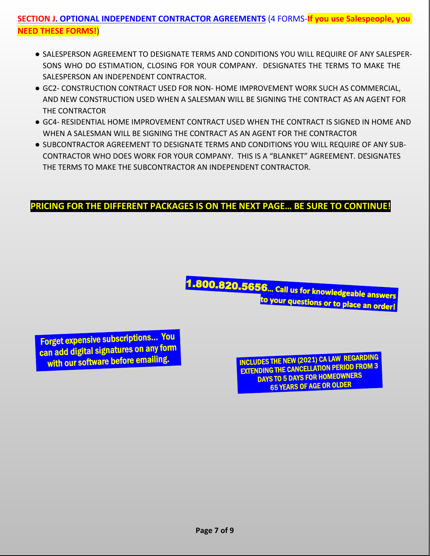# **SECTION J. OPTIONAL INDEPENDENT CONTRACTOR AGREEMENTS** (4 FORMS-**If you use Salespeople, you NEED THESE FORMS!**)

- SALESPERSON AGREEMENT TO DESIGNATE TERMS AND CONDITIONS YOU WILL REQUIRE OF ANY SALESPER-SONS WHO DO ESTIMATION, CLOSING FOR YOUR COMPANY. DESIGNATES THE TERMS TO MAKE THE SALESPERSON AN INDEPENDENT CONTRACTOR.
- GC2- CONSTRUCTION CONTRACT USED FOR NON- HOME IMPROVEMENT WORK SUCH AS COMMERCIAL, AND NEW CONSTRUCTION USED WHEN A SALESMAN WILL BE SIGNING THE CONTRACT AS AN AGENT FOR THE CONTRACTOR
- GC4- RESIDENTIAL HOME IMPROVEMENT CONTRACT USED WHEN THE CONTRACT IS SIGNED IN HOME AND WHEN A SALESMAN WILL BE SIGNING THE CONTRACT AS AN AGENT FOR THE CONTRACTOR
- SUBCONTRACTOR AGREEMENT TO DESIGNATE TERMS AND CONDITIONS YOU WILL REQUIRE OF ANY SUB-CONTRACTOR WHO DOES WORK FOR YOUR COMPANY. THIS IS A "BLANKET" AGREEMENT. DESIGNATES THE TERMS TO MAKE THE SUBCONTRACTOR AN INDEPENDENT CONTRACTOR.

# **PRICING FOR THE DIFFERENT PACKAGES IS ON THE NEXT PAGE… BE SURE TO CONTINUE!**

1.800.820.5656... Call us for knowledgeable answers to your questions or to place an order!

Forget expensive subscriptions… You can add digital signatures on any form

INCLUDES THE NEW (2021) CA LAW REGARDING EXTENDING THE CANCELLATION PERIOD FROM 3 DAYS TO 5 DAYS FOR HOMEOWNERS 65 YEARS OF AGE OR OLDER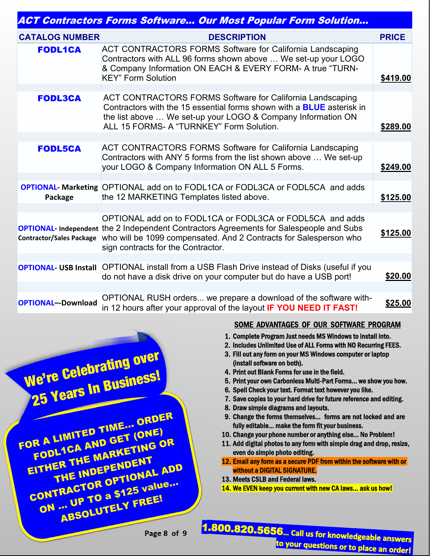| <b>ACT Contractors Forms Software Our Most Popular Form Solution</b> |                                                                                                                                                                                                                                                                                                 |              |  |  |
|----------------------------------------------------------------------|-------------------------------------------------------------------------------------------------------------------------------------------------------------------------------------------------------------------------------------------------------------------------------------------------|--------------|--|--|
| <b>CATALOG NUMBER</b>                                                | <b>DESCRIPTION</b>                                                                                                                                                                                                                                                                              | <b>PRICE</b> |  |  |
| <b>FODL1CA</b>                                                       | <b>ACT CONTRACTORS FORMS Software for California Landscaping</b><br>Contractors with ALL 96 forms shown above  We set-up your LOGO<br>& Company Information ON EACH & EVERY FORM- A true "TURN-<br><b>KEY" Form Solution</b>                                                                    | \$419.00     |  |  |
|                                                                      |                                                                                                                                                                                                                                                                                                 |              |  |  |
| <b>FODL3CA</b>                                                       | ACT CONTRACTORS FORMS Software for California Landscaping<br>Contractors with the 15 essential forms shown with a <b>BLUE</b> asterisk in<br>the list above  We set-up your LOGO & Company Information ON<br>ALL 15 FORMS- A "TURNKEY" Form Solution.                                           | \$289.00     |  |  |
|                                                                      |                                                                                                                                                                                                                                                                                                 |              |  |  |
| <b>FODL5CA</b>                                                       | <b>ACT CONTRACTORS FORMS Software for California Landscaping</b><br>Contractors with ANY 5 forms from the list shown above  We set-up<br>your LOGO & Company Information ON ALL 5 Forms.                                                                                                        | \$249.00     |  |  |
|                                                                      |                                                                                                                                                                                                                                                                                                 |              |  |  |
| Package                                                              | <b>OPTIONAL- Marketing OPTIONAL add on to FODL1CA or FODL3CA or FODL5CA and adds</b><br>the 12 MARKETING Templates listed above.                                                                                                                                                                | \$125.00     |  |  |
|                                                                      |                                                                                                                                                                                                                                                                                                 |              |  |  |
|                                                                      | OPTIONAL add on to FODL1CA or FODL3CA or FODL5CA and adds<br><b>OPTIONAL- Independent the 2 Independent Contractors Agreements for Salespeople and Subs</b><br>Contractor/Sales Package who will be 1099 compensated. And 2 Contracts for Salesperson who<br>sign contracts for the Contractor. | \$125.00     |  |  |
|                                                                      |                                                                                                                                                                                                                                                                                                 |              |  |  |
|                                                                      | <b>OPTIONAL- USB Install</b> OPTIONAL install from a USB Flash Drive instead of Disks (useful if you<br>do not have a disk drive on your computer but do have a USB port!                                                                                                                       | \$20.00      |  |  |
| <b>OPTIONAL--Download</b>                                            | OPTIONAL RUSH orders we prepare a download of the software with-<br>in 12 hours after your approval of the layout IF YOU NEED IT FAST!                                                                                                                                                          | \$25.00      |  |  |



#### SOME ADVANTAGES OF OUR SOFTWARE PROGRAM

- 1. Complete Program Just needs MS Windows to install into.
- 2. Includes Unlimited Use of ALL Forms with NO Recurring FEES.
- 3. Fill out any form on your MS Windows computer or laptop (install software on both).
- 4. Print out Blank Forms for use in the field.
- 5. Print your own Carbonless Multi-Part Forms… we show you how.
- 6. Spell Check your text. Format text however you like.
- 7. Save copies to your hard drive for future reference and editing.
- 8. Draw simple diagrams and layouts.
- 9. Change the forms themselves… forms are not locked and are fully editable… make the form fit your business.
- 10. Change your phone number or anything else… No Problem!
- 11. Add digital photos to any form with simple drag and drop, resize, even do simple photo editing.
- 12. Email any form as a secure PDF from within the software with or without a DIGITAL SIGNATURE.
- 13. Meets CSLB and Federal laws.
- 14. We EVEN keep you current with new CA laws… ask us how!

**Page 8 of 9**

1.800.820.5656... Call us for knowledgeable answers to your questions or to place an order!